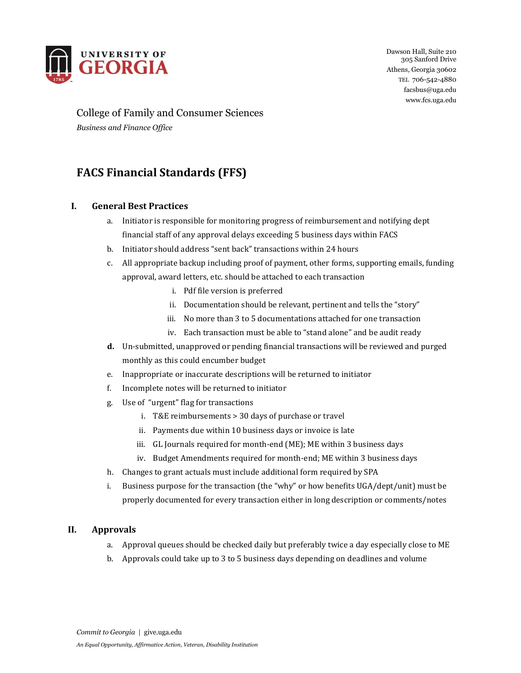

Dawson Hall, Suite 210 305 Sanford Drive Athens, Georgia 30602 TEL 706-542-4880 facsbus@uga.edu www.fcs.uga.edu

# College of Family and Consumer Sciences

*Business and Finance Office*

## **FACS Financial Standards (FFS)**

### **I. General Best Practices**

- a. Initiator is responsible for monitoring progress of reimbursement and notifying dept financial staff of any approval delays exceeding 5 business days within FACS
- b. Initiator should address "sent back" transactions within 24 hours
- c. All appropriate backup including proof of payment, other forms, supporting emails, funding approval, award letters, etc. should be attached to each transaction
	- i. Pdf file version is preferred
	- ii. Documentation should be relevant, pertinent and tells the "story"
	- iii. No more than 3 to 5 documentations attached for one transaction
	- iv. Each transaction must be able to "stand alone" and be audit ready
- **d.** Un-submitted, unapproved or pending financial transactions will be reviewed and purged monthly as this could encumber budget
- e. Inappropriate or inaccurate descriptions will be returned to initiator
- f. Incomplete notes will be returned to initiator
- g. Use of "urgent" flag for transactions
	- i. T&E reimbursements > 30 days of purchase or travel
	- ii. Payments due within 10 business days or invoice is late
	- iii. GL Journals required for month-end (ME); ME within 3 business days
	- iv. Budget Amendments required for month-end; ME within 3 business days
- h. Changes to grant actuals must include additional form required by SPA
- i. Business purpose for the transaction (the "why" or how benefits UGA/dept/unit) must be properly documented for every transaction either in long description or comments/notes

#### **II. Approvals**

- a. Approval queues should be checked daily but preferably twice a day especially close to ME
- b. Approvals could take up to 3 to 5 business days depending on deadlines and volume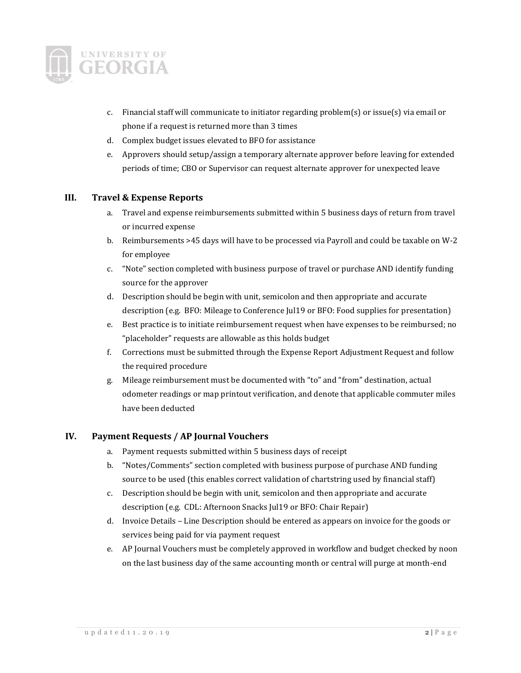

- c. Financial staff will communicate to initiator regarding problem(s) or issue(s) via email or phone if a request is returned more than 3 times
- d. Complex budget issues elevated to BFO for assistance
- e. Approvers should setup/assign a temporary alternate approver before leaving for extended periods of time; CBO or Supervisor can request alternate approver for unexpected leave

#### **III. Travel & Expense Reports**

- a. Travel and expense reimbursements submitted within 5 business days of return from travel or incurred expense
- b. Reimbursements >45 days will have to be processed via Payroll and could be taxable on W-2 for employee
- c. "Note" section completed with business purpose of travel or purchase AND identify funding source for the approver
- d. Description should be begin with unit, semicolon and then appropriate and accurate description (e.g. BFO: Mileage to Conference Jul19 or BFO: Food supplies for presentation)
- e. Best practice is to initiate reimbursement request when have expenses to be reimbursed; no "placeholder" requests are allowable as this holds budget
- f. Corrections must be submitted through the Expense Report Adjustment Request and follow the required procedure
- g. Mileage reimbursement must be documented with "to" and "from" destination, actual odometer readings or map printout verification, and denote that applicable commuter miles have been deducted

#### **IV. Payment Requests / AP Journal Vouchers**

- a. Payment requests submitted within 5 business days of receipt
- b. "Notes/Comments" section completed with business purpose of purchase AND funding source to be used (this enables correct validation of chartstring used by financial staff)
- c. Description should be begin with unit, semicolon and then appropriate and accurate description (e.g. CDL: Afternoon Snacks Jul19 or BFO: Chair Repair)
- d. Invoice Details Line Description should be entered as appears on invoice for the goods or services being paid for via payment request
- e. AP Journal Vouchers must be completely approved in workflow and budget checked by noon on the last business day of the same accounting month or central will purge at month-end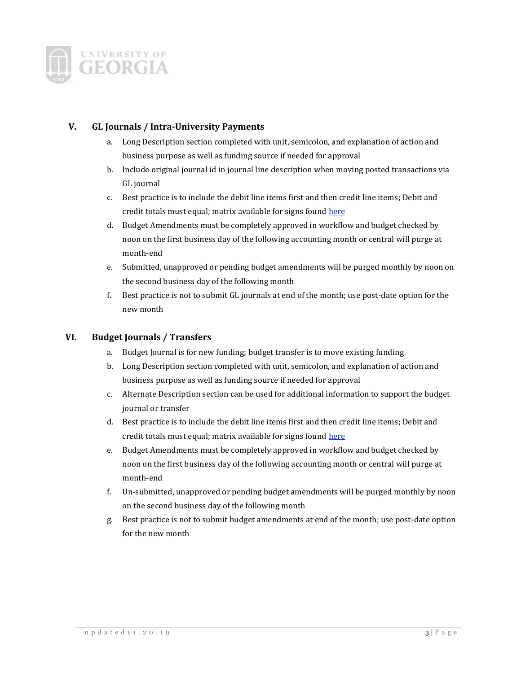

#### **V. GL Journals / Intra-University Payments**

- a. Long Description section completed with unit, semicolon, and explanation of action and business purpose as well as funding source if needed for approval
- b. Include original journal id in journal line description when moving posted transactions via GL journal
- c. Best practice is to include the debit line items first and then credit line items; Debit and credit totals must equal; matrix available for signs foun[d here](https://training.onesource.uga.edu/UPK_Training/OneSourceOL/Publishing%20Content/PlayerPackage/data/tpc/098becc1-6257-478c-810f-96f04bd5b421/Parts/190322%20Transaction%20Signs%20Cheatsheet.pdf)
- d. Budget Amendments must be completely approved in workflow and budget checked by noon on the first business day of the following accounting month or central will purge at month-end
- e. Submitted, unapproved or pending budget amendments will be purged monthly by noon on the second business day of the following month
- f. Best practice is not to submit GL journals at end of the month; use post-date option for the new month

#### **VI. Budget Journals / Transfers**

- a. Budget Journal is for new funding; budget transfer is to move existing funding
- b. Long Description section completed with unit, semicolon, and explanation of action and business purpose as well as funding source if needed for approval
- c. Alternate Description section can be used for additional information to support the budget journal or transfer
- d. Best practice is to include the debit line items first and then credit line items; Debit and credit totals must equal; matrix available for signs foun[d here](https://training.onesource.uga.edu/UPK_Training/OneSourceOL/Publishing%20Content/PlayerPackage/data/tpc/098becc1-6257-478c-810f-96f04bd5b421/Parts/190322%20Transaction%20Signs%20Cheatsheet.pdf)
- e. Budget Amendments must be completely approved in workflow and budget checked by noon on the first business day of the following accounting month or central will purge at month-end
- f. Un-submitted, unapproved or pending budget amendments will be purged monthly by noon on the second business day of the following month
- g. Best practice is not to submit budget amendments at end of the month; use post-date option for the new month